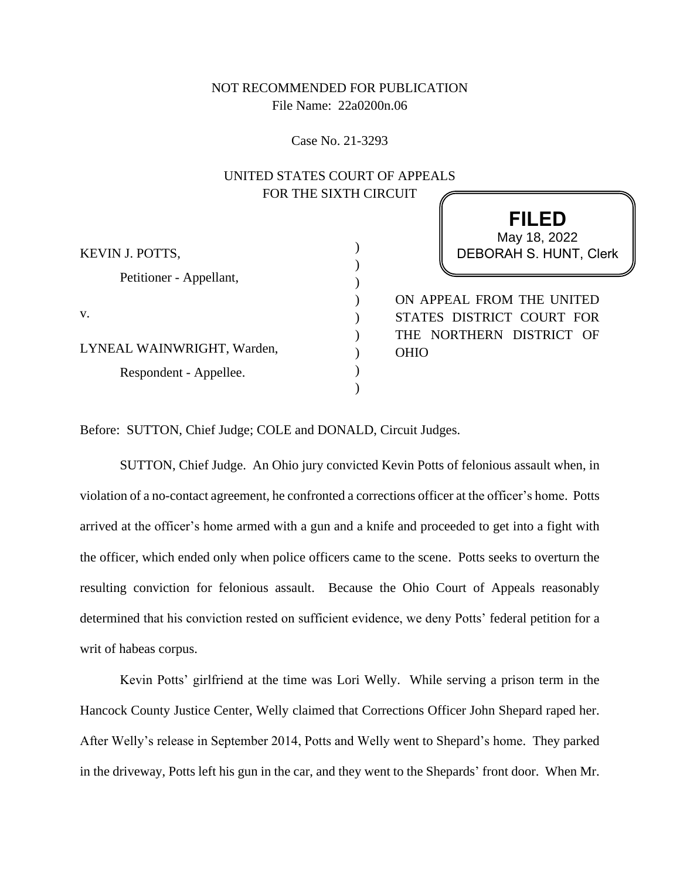## NOT RECOMMENDED FOR PUBLICATION File Name: 22a0200n.06

Case No. 21-3293

## UNITED STATES COURT OF APPEALS FOR THE SIXTH CIRCUIT

|                            | <b>FILED</b><br>May 18, 2022  |
|----------------------------|-------------------------------|
| KEVIN J. POTTS,            | <b>DEBORAH S. HUNT, Clerk</b> |
| Petitioner - Appellant,    |                               |
| v.                         | ON APPEAL FROM THE UNITED     |
|                            | STATES DISTRICT COURT FOR     |
| LYNEAL WAINWRIGHT, Warden, | THE NORTHERN DISTRICT OF      |
|                            | <b>OHIO</b>                   |
| Respondent - Appellee.     |                               |
|                            |                               |

Before: SUTTON, Chief Judge; COLE and DONALD, Circuit Judges.

SUTTON, Chief Judge. An Ohio jury convicted Kevin Potts of felonious assault when, in violation of a no-contact agreement, he confronted a corrections officer at the officer's home. Potts arrived at the officer's home armed with a gun and a knife and proceeded to get into a fight with the officer, which ended only when police officers came to the scene. Potts seeks to overturn the resulting conviction for felonious assault. Because the Ohio Court of Appeals reasonably determined that his conviction rested on sufficient evidence, we deny Potts' federal petition for a writ of habeas corpus.

Kevin Potts' girlfriend at the time was Lori Welly. While serving a prison term in the Hancock County Justice Center, Welly claimed that Corrections Officer John Shepard raped her. After Welly's release in September 2014, Potts and Welly went to Shepard's home. They parked in the driveway, Potts left his gun in the car, and they went to the Shepards' front door. When Mr.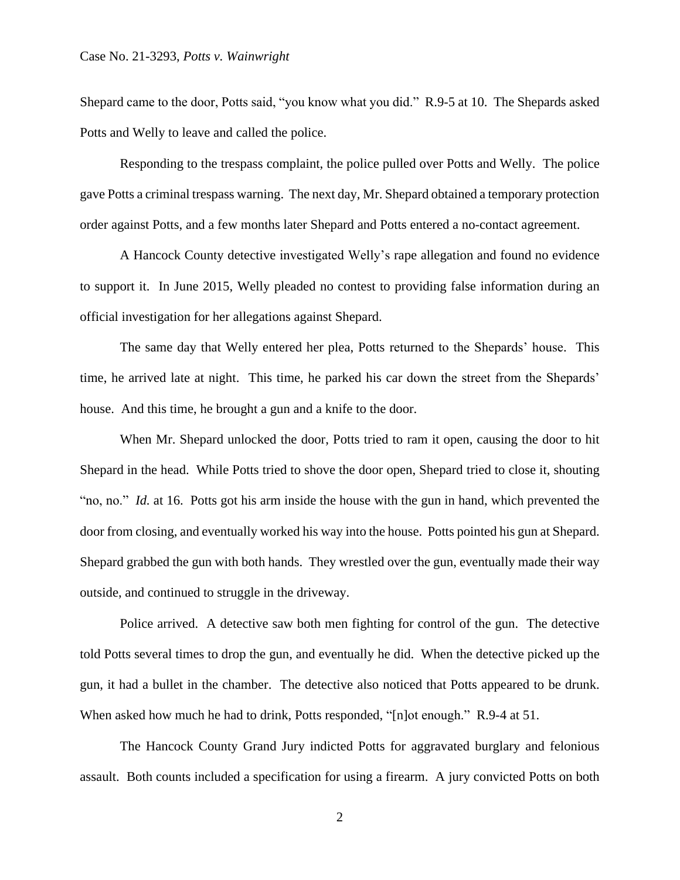Shepard came to the door, Potts said, "you know what you did." R.9-5 at 10. The Shepards asked Potts and Welly to leave and called the police.

Responding to the trespass complaint, the police pulled over Potts and Welly. The police gave Potts a criminal trespass warning. The next day, Mr. Shepard obtained a temporary protection order against Potts, and a few months later Shepard and Potts entered a no-contact agreement.

A Hancock County detective investigated Welly's rape allegation and found no evidence to support it. In June 2015, Welly pleaded no contest to providing false information during an official investigation for her allegations against Shepard.

The same day that Welly entered her plea, Potts returned to the Shepards' house. This time, he arrived late at night. This time, he parked his car down the street from the Shepards' house. And this time, he brought a gun and a knife to the door.

When Mr. Shepard unlocked the door, Potts tried to ram it open, causing the door to hit Shepard in the head. While Potts tried to shove the door open, Shepard tried to close it, shouting "no, no." *Id.* at 16. Potts got his arm inside the house with the gun in hand, which prevented the door from closing, and eventually worked his way into the house. Potts pointed his gun at Shepard. Shepard grabbed the gun with both hands. They wrestled over the gun, eventually made their way outside, and continued to struggle in the driveway.

Police arrived. A detective saw both men fighting for control of the gun. The detective told Potts several times to drop the gun, and eventually he did. When the detective picked up the gun, it had a bullet in the chamber. The detective also noticed that Potts appeared to be drunk. When asked how much he had to drink, Potts responded, "[n]ot enough." R.9-4 at 51.

The Hancock County Grand Jury indicted Potts for aggravated burglary and felonious assault. Both counts included a specification for using a firearm. A jury convicted Potts on both

2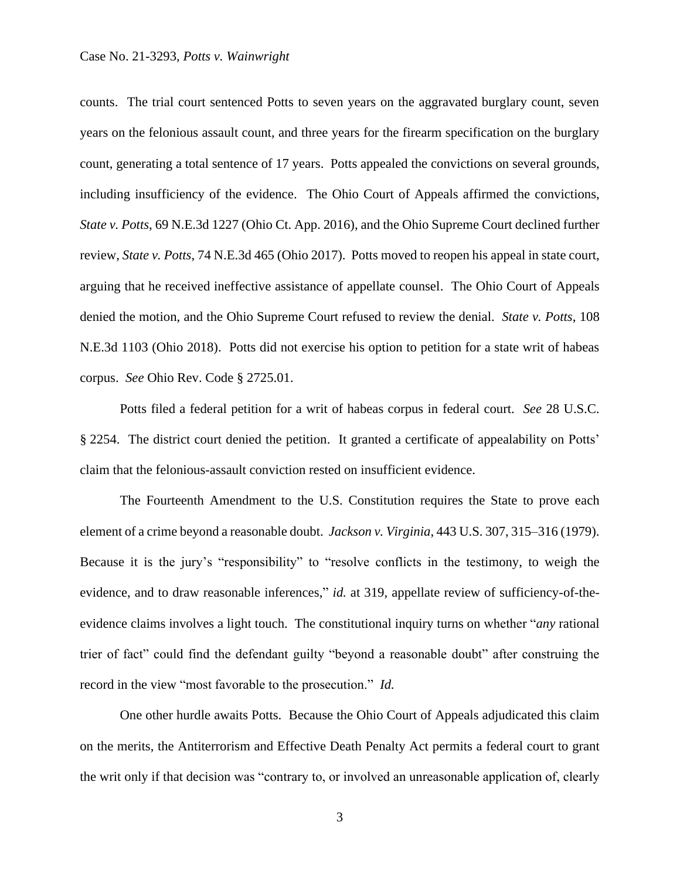## Case No. 21-3293, *Potts v. Wainwright*

counts. The trial court sentenced Potts to seven years on the aggravated burglary count, seven years on the felonious assault count, and three years for the firearm specification on the burglary count, generating a total sentence of 17 years. Potts appealed the convictions on several grounds, including insufficiency of the evidence. The Ohio Court of Appeals affirmed the convictions, *State v. Potts*, 69 N.E.3d 1227 (Ohio Ct. App. 2016), and the Ohio Supreme Court declined further review, *State v. Potts*, 74 N.E.3d 465 (Ohio 2017). Potts moved to reopen his appeal in state court, arguing that he received ineffective assistance of appellate counsel. The Ohio Court of Appeals denied the motion, and the Ohio Supreme Court refused to review the denial. *State v. Potts*, 108 N.E.3d 1103 (Ohio 2018). Potts did not exercise his option to petition for a state writ of habeas corpus. *See* Ohio Rev. Code § 2725.01.

Potts filed a federal petition for a writ of habeas corpus in federal court. *See* 28 U.S.C. § 2254. The district court denied the petition. It granted a certificate of appealability on Potts' claim that the felonious-assault conviction rested on insufficient evidence.

The Fourteenth Amendment to the U.S. Constitution requires the State to prove each element of a crime beyond a reasonable doubt. *Jackson v. Virginia*, 443 U.S. 307, 315–316 (1979). Because it is the jury's "responsibility" to "resolve conflicts in the testimony, to weigh the evidence, and to draw reasonable inferences," *id.* at 319, appellate review of sufficiency-of-theevidence claims involves a light touch. The constitutional inquiry turns on whether "*any* rational trier of fact" could find the defendant guilty "beyond a reasonable doubt" after construing the record in the view "most favorable to the prosecution." *Id.*

One other hurdle awaits Potts. Because the Ohio Court of Appeals adjudicated this claim on the merits, the Antiterrorism and Effective Death Penalty Act permits a federal court to grant the writ only if that decision was "contrary to, or involved an unreasonable application of, clearly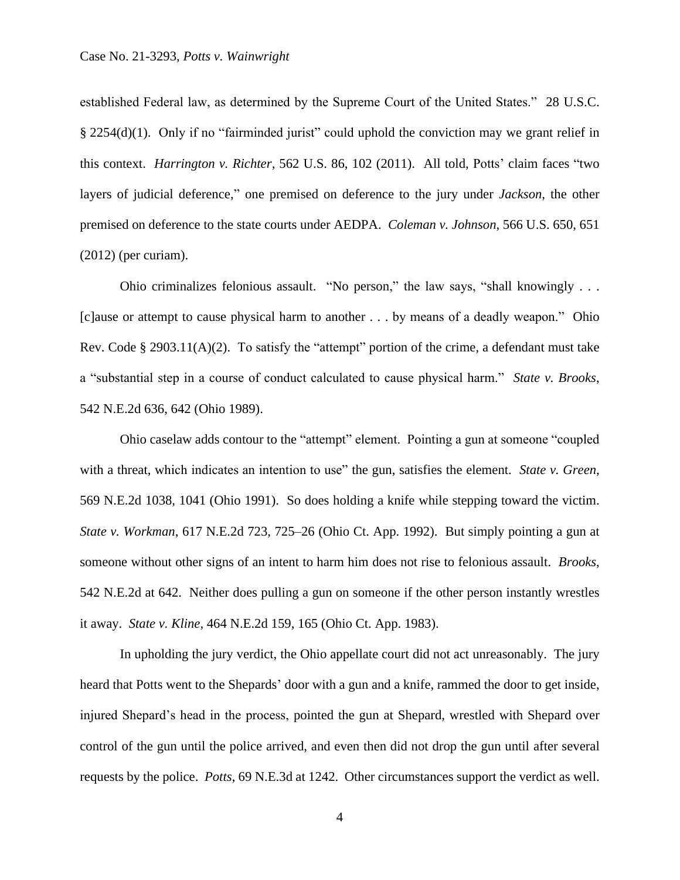established Federal law, as determined by the Supreme Court of the United States." 28 U.S.C.  $\S 2254(d)(1)$ . Only if no "fairminded jurist" could uphold the conviction may we grant relief in this context. *Harrington v. Richter*, 562 U.S. 86, 102 (2011). All told, Potts' claim faces "two layers of judicial deference," one premised on deference to the jury under *Jackson*, the other premised on deference to the state courts under AEDPA. *Coleman v. Johnson*, 566 U.S. 650, 651 (2012) (per curiam).

Ohio criminalizes felonious assault. "No person," the law says, "shall knowingly . . . [c]ause or attempt to cause physical harm to another . . . by means of a deadly weapon." Ohio Rev. Code § 2903.11(A)(2). To satisfy the "attempt" portion of the crime, a defendant must take a "substantial step in a course of conduct calculated to cause physical harm." *State v. Brooks*, 542 N.E.2d 636, 642 (Ohio 1989).

Ohio caselaw adds contour to the "attempt" element. Pointing a gun at someone "coupled with a threat, which indicates an intention to use" the gun, satisfies the element. *State v. Green*, 569 N.E.2d 1038, 1041 (Ohio 1991). So does holding a knife while stepping toward the victim. *State v. Workman*, 617 N.E.2d 723, 725–26 (Ohio Ct. App. 1992). But simply pointing a gun at someone without other signs of an intent to harm him does not rise to felonious assault. *Brooks*, 542 N.E.2d at 642. Neither does pulling a gun on someone if the other person instantly wrestles it away. *State v. Kline*, 464 N.E.2d 159, 165 (Ohio Ct. App. 1983).

In upholding the jury verdict, the Ohio appellate court did not act unreasonably. The jury heard that Potts went to the Shepards' door with a gun and a knife, rammed the door to get inside, injured Shepard's head in the process, pointed the gun at Shepard, wrestled with Shepard over control of the gun until the police arrived, and even then did not drop the gun until after several requests by the police. *Potts*, 69 N.E.3d at 1242. Other circumstances support the verdict as well.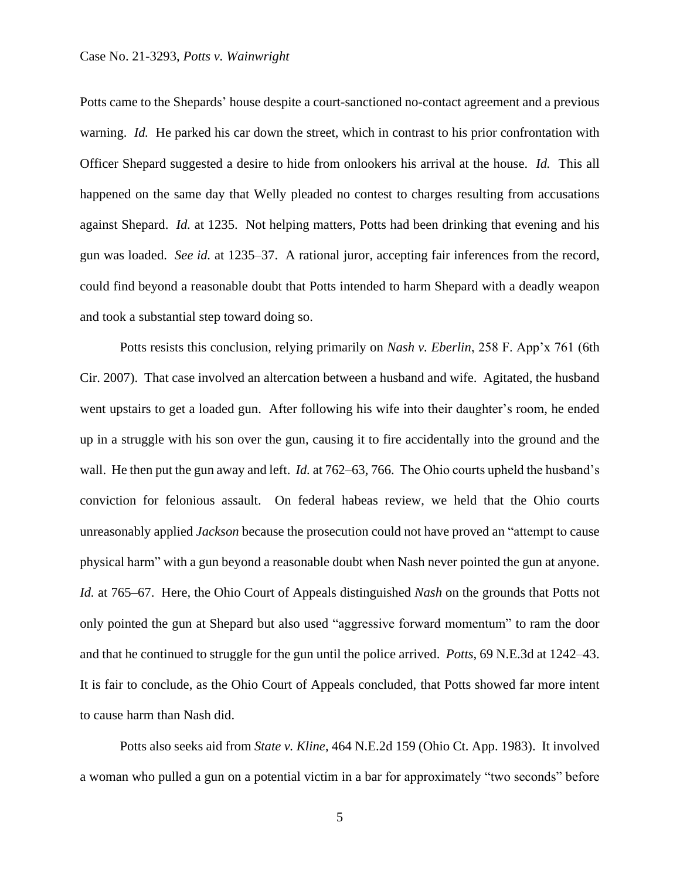Potts came to the Shepards' house despite a court-sanctioned no-contact agreement and a previous warning. *Id.* He parked his car down the street, which in contrast to his prior confrontation with Officer Shepard suggested a desire to hide from onlookers his arrival at the house. *Id.* This all happened on the same day that Welly pleaded no contest to charges resulting from accusations against Shepard. *Id.* at 1235.Not helping matters, Potts had been drinking that evening and his gun was loaded. *See id.* at 1235–37. A rational juror, accepting fair inferences from the record, could find beyond a reasonable doubt that Potts intended to harm Shepard with a deadly weapon and took a substantial step toward doing so.

Potts resists this conclusion, relying primarily on *Nash v. Eberlin*, 258 F. App'x 761 (6th Cir. 2007). That case involved an altercation between a husband and wife. Agitated, the husband went upstairs to get a loaded gun. After following his wife into their daughter's room, he ended up in a struggle with his son over the gun, causing it to fire accidentally into the ground and the wall. He then put the gun away and left. *Id.* at 762–63, 766. The Ohio courts upheld the husband's conviction for felonious assault. On federal habeas review, we held that the Ohio courts unreasonably applied *Jackson* because the prosecution could not have proved an "attempt to cause physical harm" with a gun beyond a reasonable doubt when Nash never pointed the gun at anyone. *Id.* at 765–67. Here, the Ohio Court of Appeals distinguished *Nash* on the grounds that Potts not only pointed the gun at Shepard but also used "aggressive forward momentum" to ram the door and that he continued to struggle for the gun until the police arrived. *Potts*, 69 N.E.3d at 1242–43. It is fair to conclude, as the Ohio Court of Appeals concluded, that Potts showed far more intent to cause harm than Nash did.

Potts also seeks aid from *State v. Kline*, 464 N.E.2d 159 (Ohio Ct. App. 1983). It involved a woman who pulled a gun on a potential victim in a bar for approximately "two seconds" before